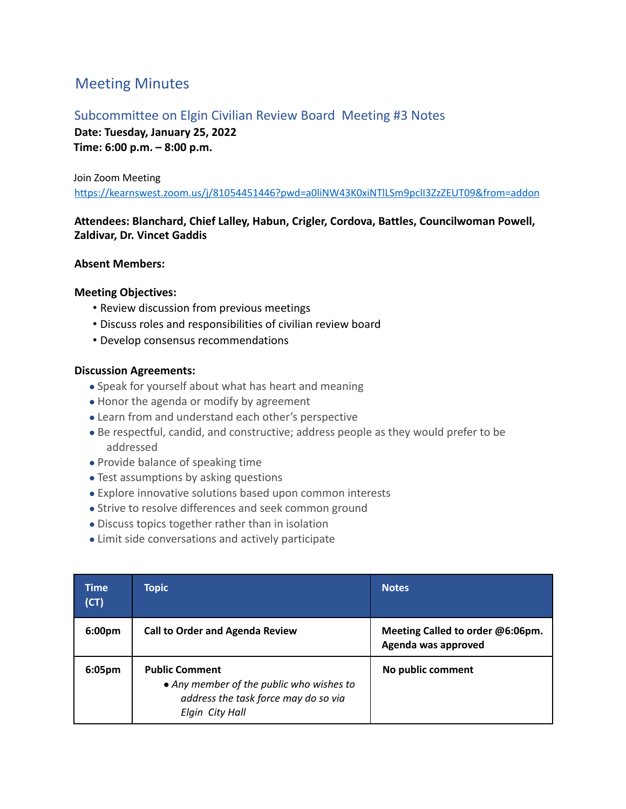# Meeting Minutes

## Subcommittee on Elgin Civilian Review Board Meeting #3 Notes

**Date: Tuesday, January 25, 2022 Time: 6:00 p.m. – 8:00 p.m.**

Join Zoom Meeting

https://kearnswest.zoom.us/j/81054451446?pwd=a0liNW43K0xiNTlLSm9pclI3ZzZEUT09&from=addon

### **Attendees: Blanchard, Chief Lalley, Habun, Crigler, Cordova, Battles, Councilwoman Powell, Zaldivar, Dr. Vincet Gaddis**

#### **Absent Members:**

#### **Meeting Objectives:**

- Review discussion from previous meetings
- Discuss roles and responsibilities of civilian review board
- Develop consensus recommendations

#### **Discussion Agreements:**

- Speak for yourself about what has heart and meaning
- Honor the agenda or modify by agreement
- Learn from and understand each other's perspective
- Be respectful, candid, and constructive; address people as they would prefer to be addressed
- Provide balance of speaking time
- Test assumptions by asking questions
- Explore innovative solutions based upon common interests
- Strive to resolve differences and seek common ground
- Discuss topics together rather than in isolation
- Limit side conversations and actively participate

| <b>Time</b><br>(CT) | <b>Topic</b>                                                                                                                 | <b>Notes</b>                                            |
|---------------------|------------------------------------------------------------------------------------------------------------------------------|---------------------------------------------------------|
| 6:00pm              | <b>Call to Order and Agenda Review</b>                                                                                       | Meeting Called to order @6:06pm.<br>Agenda was approved |
| 6:05 <sub>pm</sub>  | <b>Public Comment</b><br>• Any member of the public who wishes to<br>address the task force may do so via<br>Elgin City Hall | No public comment                                       |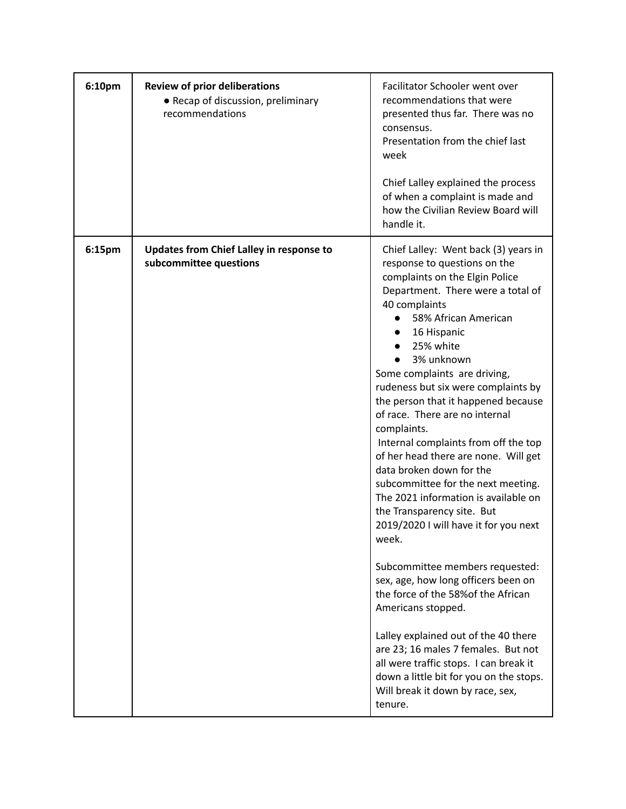| 6:10pm | <b>Review of prior deliberations</b><br>• Recap of discussion, preliminary<br>recommendations | Facilitator Schooler went over<br>recommendations that were<br>presented thus far. There was no<br>consensus.<br>Presentation from the chief last<br>week<br>Chief Lalley explained the process<br>of when a complaint is made and<br>how the Civilian Review Board will<br>handle it.                                                                                                                                                                                                                                                                                                                                                                                                                                                                                                                                                                                                                                                                                                                                            |
|--------|-----------------------------------------------------------------------------------------------|-----------------------------------------------------------------------------------------------------------------------------------------------------------------------------------------------------------------------------------------------------------------------------------------------------------------------------------------------------------------------------------------------------------------------------------------------------------------------------------------------------------------------------------------------------------------------------------------------------------------------------------------------------------------------------------------------------------------------------------------------------------------------------------------------------------------------------------------------------------------------------------------------------------------------------------------------------------------------------------------------------------------------------------|
| 6:15pm | <b>Updates from Chief Lalley in response to</b><br>subcommittee questions                     | Chief Lalley: Went back (3) years in<br>response to questions on the<br>complaints on the Elgin Police<br>Department. There were a total of<br>40 complaints<br>58% African American<br>16 Hispanic<br>25% white<br>3% unknown<br>Some complaints are driving,<br>rudeness but six were complaints by<br>the person that it happened because<br>of race. There are no internal<br>complaints.<br>Internal complaints from off the top<br>of her head there are none. Will get<br>data broken down for the<br>subcommittee for the next meeting.<br>The 2021 information is available on<br>the Transparency site. But<br>2019/2020 I will have it for you next<br>week.<br>Subcommittee members requested:<br>sex, age, how long officers been on<br>the force of the 58% of the African<br>Americans stopped.<br>Lalley explained out of the 40 there<br>are 23; 16 males 7 females. But not<br>all were traffic stops. I can break it<br>down a little bit for you on the stops.<br>Will break it down by race, sex,<br>tenure. |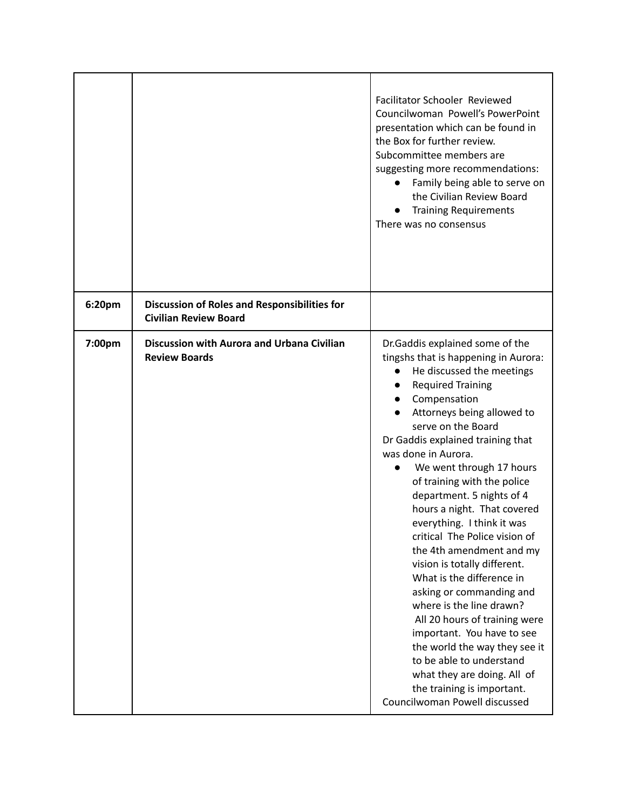|        |                                                                              | Facilitator Schooler Reviewed<br>Councilwoman Powell's PowerPoint<br>presentation which can be found in<br>the Box for further review.<br>Subcommittee members are<br>suggesting more recommendations:<br>Family being able to serve on<br>the Civilian Review Board<br><b>Training Requirements</b><br>There was no consensus                                                                                                                                                                                                                                                                                                                                                                                                                                                                                                                 |
|--------|------------------------------------------------------------------------------|------------------------------------------------------------------------------------------------------------------------------------------------------------------------------------------------------------------------------------------------------------------------------------------------------------------------------------------------------------------------------------------------------------------------------------------------------------------------------------------------------------------------------------------------------------------------------------------------------------------------------------------------------------------------------------------------------------------------------------------------------------------------------------------------------------------------------------------------|
| 6:20pm | Discussion of Roles and Responsibilities for<br><b>Civilian Review Board</b> |                                                                                                                                                                                                                                                                                                                                                                                                                                                                                                                                                                                                                                                                                                                                                                                                                                                |
| 7:00pm | Discussion with Aurora and Urbana Civilian<br><b>Review Boards</b>           | Dr.Gaddis explained some of the<br>tingshs that is happening in Aurora:<br>He discussed the meetings<br><b>Required Training</b><br>Compensation<br>Attorneys being allowed to<br>serve on the Board<br>Dr Gaddis explained training that<br>was done in Aurora.<br>We went through 17 hours<br>$\bullet$<br>of training with the police<br>department. 5 nights of 4<br>hours a night. That covered<br>everything. I think it was<br>critical The Police vision of<br>the 4th amendment and my<br>vision is totally different.<br>What is the difference in<br>asking or commanding and<br>where is the line drawn?<br>All 20 hours of training were<br>important. You have to see<br>the world the way they see it<br>to be able to understand<br>what they are doing. All of<br>the training is important.<br>Councilwoman Powell discussed |